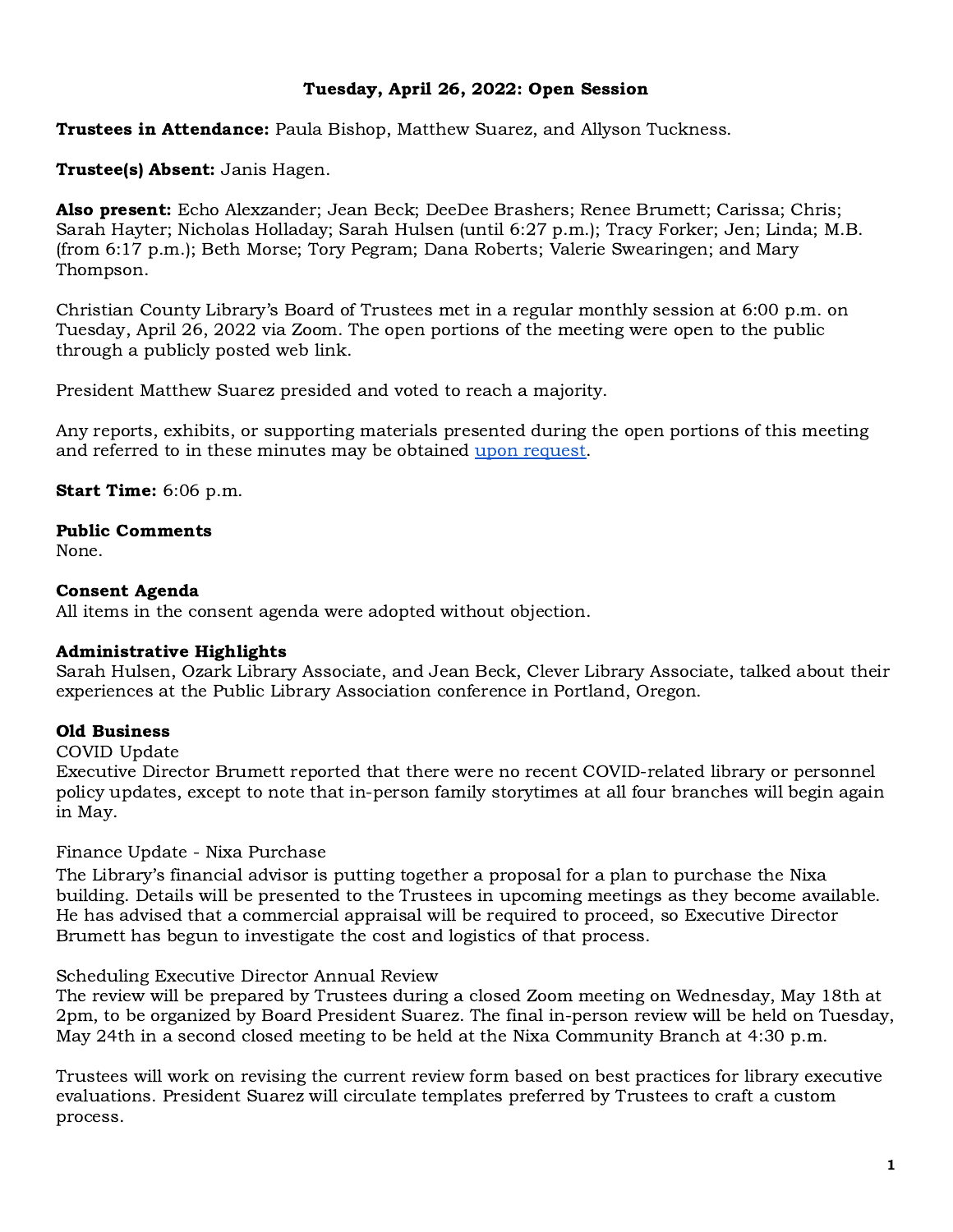# Tuesday, April 26, 2022: Open Session

**Trustees in Attendance:** Paula Bishop, Matthew Suarez, and Allyson Tuckness.

## Trustee(s) Absent: Janis Hagen.

Also present: Echo Alexzander; Jean Beck; DeeDee Brashers; Renee Brumett; Carissa; Chris; Sarah Hayter; Nicholas Holladay; Sarah Hulsen (until 6:27 p.m.); Tracy Forker; Jen; Linda; M.B. (from 6:17 p.m.); Beth Morse; Tory Pegram; Dana Roberts; Valerie Swearingen; and Mary Thompson.

Christian County Library's Board of Trustees met in a regular monthly session at 6:00 p.m. on Tuesday, April 26, 2022 via Zoom. The open portions of the meeting were open to the public through a publicly posted web link.

President Matthew Suarez presided and voted to reach a majority.

Any reports, exhibits, or supporting materials presented during the open portions of this meeting and referred to in these minutes may be obtained upon [request.](mailto:info@christiancountylibrary.org)

### Start Time: 6:06 p.m.

#### Public Comments

None.

### Consent Agenda

All items in the consent agenda were adopted without objection.

# Administrative Highlights

Sarah Hulsen, Ozark Library Associate, and Jean Beck, Clever Library Associate, talked about their experiences at the Public Library Association conference in Portland, Oregon.

# Old Business

COVID Update

Executive Director Brumett reported that there were no recent COVID-related library or personnel policy updates, except to note that in-person family storytimes at all four branches will begin again in May.

Finance Update - Nixa Purchase

The Library's financial advisor is putting together a proposal for a plan to purchase the Nixa building. Details will be presented to the Trustees in upcoming meetings as they become available. He has advised that a commercial appraisal will be required to proceed, so Executive Director Brumett has begun to investigate the cost and logistics of that process.

#### Scheduling Executive Director Annual Review

The review will be prepared by Trustees during a closed Zoom meeting on Wednesday, May 18th at 2pm, to be organized by Board President Suarez. The final in-person review will be held on Tuesday, May 24th in a second closed meeting to be held at the Nixa Community Branch at 4:30 p.m.

Trustees will work on revising the current review form based on best practices for library executive evaluations. President Suarez will circulate templates preferred by Trustees to craft a custom process.